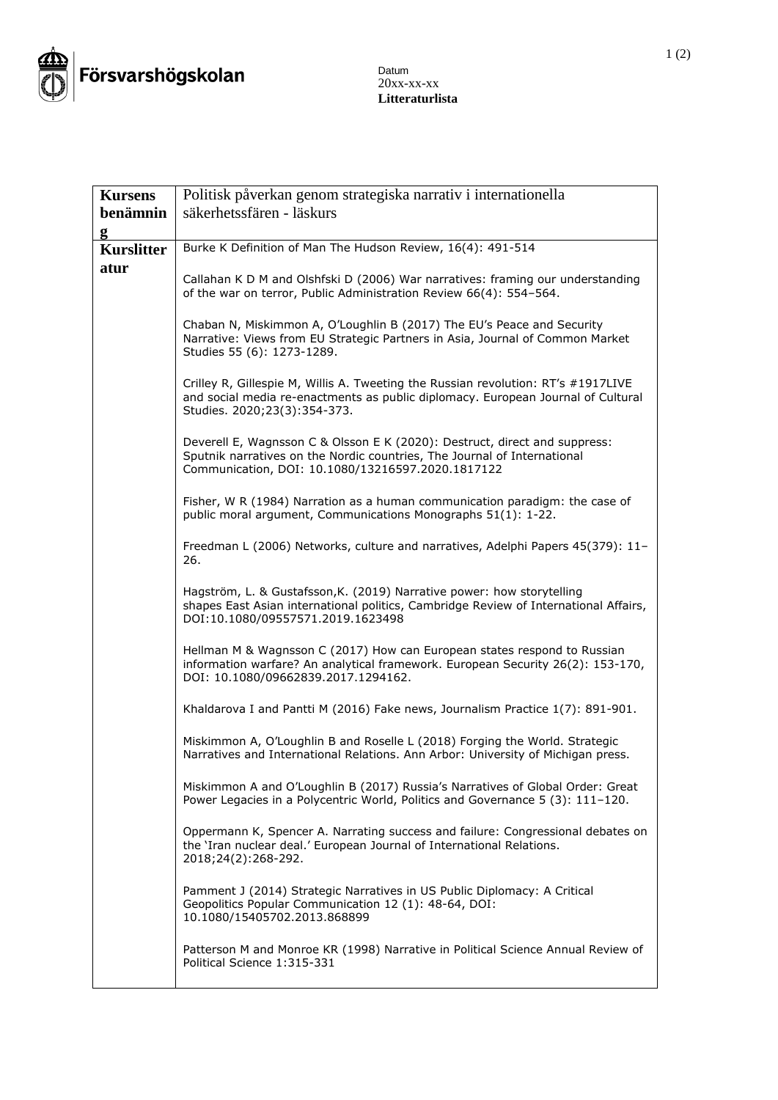

## Datum 20xx-xx-xx **Litteraturlista**

| <b>Kursens</b>    | Politisk påverkan genom strategiska narrativ i internationella                                                                                                                                              |
|-------------------|-------------------------------------------------------------------------------------------------------------------------------------------------------------------------------------------------------------|
| benämnin          | säkerhetssfären - läskurs                                                                                                                                                                                   |
| g                 |                                                                                                                                                                                                             |
| <b>Kurslitter</b> | Burke K Definition of Man The Hudson Review, 16(4): 491-514                                                                                                                                                 |
| atur              | Callahan K D M and Olshfski D (2006) War narratives: framing our understanding<br>of the war on terror, Public Administration Review 66(4): 554-564.                                                        |
|                   | Chaban N, Miskimmon A, O'Loughlin B (2017) The EU's Peace and Security<br>Narrative: Views from EU Strategic Partners in Asia, Journal of Common Market<br>Studies 55 (6): 1273-1289.                       |
|                   | Crilley R, Gillespie M, Willis A. Tweeting the Russian revolution: RT's #1917LIVE<br>and social media re-enactments as public diplomacy. European Journal of Cultural<br>Studies. 2020;23(3):354-373.       |
|                   | Deverell E, Wagnsson C & Olsson E K (2020): Destruct, direct and suppress:<br>Sputnik narratives on the Nordic countries, The Journal of International<br>Communication, DOI: 10.1080/13216597.2020.1817122 |
|                   | Fisher, W R (1984) Narration as a human communication paradigm: the case of<br>public moral argument, Communications Monographs 51(1): 1-22.                                                                |
|                   | Freedman L (2006) Networks, culture and narratives, Adelphi Papers 45(379): 11-<br>26.                                                                                                                      |
|                   | Hagström, L. & Gustafsson, K. (2019) Narrative power: how storytelling<br>shapes East Asian international politics, Cambridge Review of International Affairs,<br>DOI:10.1080/09557571.2019.1623498         |
|                   | Hellman M & Wagnsson C (2017) How can European states respond to Russian<br>information warfare? An analytical framework. European Security 26(2): 153-170,<br>DOI: 10.1080/09662839.2017.1294162.          |
|                   | Khaldarova I and Pantti M (2016) Fake news, Journalism Practice 1(7): 891-901.                                                                                                                              |
|                   | Miskimmon A, O'Loughlin B and Roselle L (2018) Forging the World. Strategic<br>Narratives and International Relations. Ann Arbor: University of Michigan press.                                             |
|                   | Miskimmon A and O'Loughlin B (2017) Russia's Narratives of Global Order: Great<br>Power Legacies in a Polycentric World, Politics and Governance 5 (3): 111-120.                                            |
|                   | Oppermann K, Spencer A. Narrating success and failure: Congressional debates on<br>the 'Iran nuclear deal.' European Journal of International Relations.<br>2018;24(2):268-292.                             |
|                   | Pamment J (2014) Strategic Narratives in US Public Diplomacy: A Critical<br>Geopolitics Popular Communication 12 (1): 48-64, DOI:<br>10.1080/15405702.2013.868899                                           |
|                   | Patterson M and Monroe KR (1998) Narrative in Political Science Annual Review of<br>Political Science 1:315-331                                                                                             |